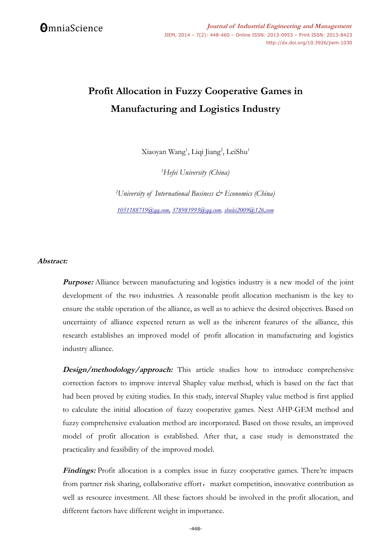# **Profit Allocation in Fuzzy Cooperative Games in Manufacturing and Logistics Industry**

Xiaoyan Wang<sup>1</sup>, Liqi Jiang<sup>2</sup>, LeiShu<sup>1</sup>

*<sup>1</sup>Hefei University (China)*

*<sup>2</sup>University of International Business & Economics (China) 1051188719@qq.com, 378983993@qq.com, shulei2009@126,com*

## **Abstract:**

**Purpose:** Alliance between manufacturing and logistics industry is a new model of the joint development of the two industries. A reasonable profit allocation mechanism is the key to ensure the stable operation of the alliance, as well as to achieve the desired objectives. Based on uncertainty of alliance expected return as well as the inherent features of the alliance, this research establishes an improved model of profit allocation in manufacturing and logistics industry alliance.

**Design/methodology/approach:** This article studies how to introduce comprehensive correction factors to improve interval Shapley value method, which is based on the fact that had been proved by exiting studies. In this study, interval Shapley value method is first applied to calculate the initial allocation of fuzzy cooperative games. Next AHP-GEM method and fuzzy comprehensive evaluation method are incorporated. Based on those results, an improved model of profit allocation is established. After that, a case study is demonstrated the practicality and feasibility of the improved model.

Findings: Profit allocation is a complex issue in fuzzy cooperative games. There're impacts from partner risk sharing, collaborative effort, market competition, innovative contribution as well as resource investment. All these factors should be involved in the profit allocation, and different factors have different weight in importance.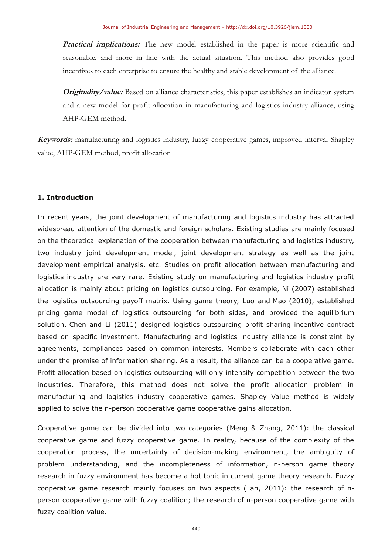Practical implications: The new model established in the paper is more scientific and reasonable, and more in line with the actual situation. This method also provides good incentives to each enterprise to ensure the healthy and stable development of the alliance.

Originality/value: Based on alliance characteristics, this paper establishes an indicator system and a new model for profit allocation in manufacturing and logistics industry alliance, using AHP-GEM method.

Keywords: manufacturing and logistics industry, fuzzy cooperative games, improved interval Shapley value, AHP-GEM method, profit allocation

## 1. Introduction

In recent years, the joint development of manufacturing and logistics industry has attracted widespread attention of the domestic and foreign scholars. Existing studies are mainly focused on the theoretical explanation of the cooperation between manufacturing and logistics industry, two industry joint development model, joint development strategy as well as the joint development empirical analysis, etc. Studies on profit allocation between manufacturing and logistics industry are very rare. Existing study on manufacturing and logistics industry profit allocation is mainly about pricing on logistics outsourcing. For example, Ni (2007) established the logistics outsourcing payoff matrix. Using game theory, Luo and Mao (2010), established pricing game model of logistics outsourcing for both sides, and provided the equilibrium solution. Chen and Li (2011) designed logistics outsourcing profit sharing incentive contract based on specific investment. Manufacturing and logistics industry alliance is constraint by agreements, compliances based on common interests. Members collaborate with each other under the promise of information sharing. As a result, the alliance can be a cooperative game. Profit allocation based on logistics outsourcing will only intensify competition between the two industries. Therefore, this method does not solve the profit allocation problem in manufacturing and logistics industry cooperative games. Shapley Value method is widely applied to solve the n-person cooperative game cooperative gains allocation.

Cooperative game can be divided into two categories (Meng & Zhang, 2011): the classical cooperative game and fuzzy cooperative game. In reality, because of the complexity of the cooperation process, the uncertainty of decision-making environment, the ambiguity of problem understanding, and the incompleteness of information, n-person game theory research in fuzzy environment has become a hot topic in current game theory research. Fuzzy cooperative game research mainly focuses on two aspects (Tan, 2011): the research of nperson cooperative game with fuzzy coalition; the research of n-person cooperative game with fuzzy coalition value.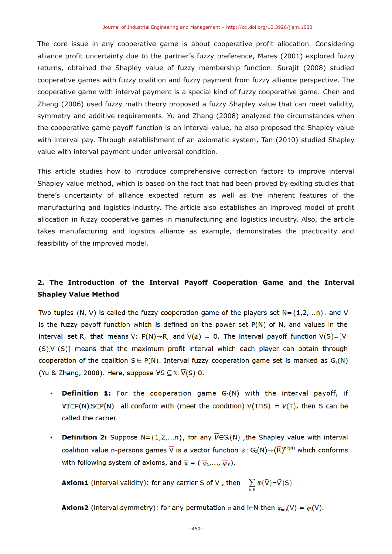The core issue in any cooperative game is about cooperative profit allocation. Considering alliance profit uncertainty due to the partner's fuzzy preference, Mares (2001) explored fuzzy returns, obtained the Shapley value of fuzzy membership function. Surajit (2008) studied cooperative games with fuzzy coalition and fuzzy payment from fuzzy alliance perspective. The cooperative game with interval payment is a special kind of fuzzy cooperative game. Chen and Zhang (2006) used fuzzy math theory proposed a fuzzy Shapley value that can meet validity, symmetry and additive requirements. Yu and Zhang (2008) analyzed the circumstances when the cooperative game payoff function is an interval value, he also proposed the Shapley value with interval pay. Through establishment of an axiomatic system, Tan (2010) studied Shapley value with interval payment under universal condition.

This article studies how to introduce comprehensive correction factors to improve interval Shapley value method, which is based on the fact that had been proved by exiting studies that there's uncertainty of alliance expected return as well as the inherent features of the manufacturing and logistics industry. The article also establishes an improved model of profit allocation in fuzzy cooperative games in manufacturing and logistics industry. Also, the article takes manufacturing and logistics alliance as example, demonstrates the practicality and feasibility of the improved model.

## 2. The Introduction of the Interval Payoff Cooperation Game and the Interval **Shapley Value Method**

Two-tuples (N,  $\overline{V}$ ) is called the fuzzy cooperation game of the players set N={1,2,...n}, and  $\overline{V}$ is the fuzzy payoff function which is defined on the power set  $P(N)$  of N, and values in the interval set R, that means  $\overline{V}$ : P(N) $\rightarrow$ R, and  $\overline{V}(\emptyset) = 0$ . The interval payoff function  $\overline{V}(S) = [V^T \circ V]$  $(S)$ ,  $V^+(S)$ ] means that the maximum profit interval which each player can obtain through cooperation of the coalition  $S \in P(N)$ . Interval fuzzy cooperation game set is marked as  $G<sub>I</sub>(N)$ (Yu & Zhang, 2008). Here, suppose  $\forall S \subseteq N, \overline{V}(S)$  0.

- **Definition 1:** For the cooperation game  $G_I(N)$  with the interval payoff, if  $\bullet$  $\forall T \in P(N)$ ,  $S \in P(N)$  all conform with (meet the condition)  $\overline{V(T \cap S)} = \overline{V(T)}$ , then S can be called the carrier.
- **Definition 2:** Suppose N={1,2,...n}, for any  $\overline{V} \in G_1(N)$  , the Shapley value with interval  $\bullet$  . coalition value n-persons games  $\overline{V}$  is a vector function  $\overline{\varphi}:G_I(N)\to(\overline{R})^{nP(N)}$  which conforms with following system of axioms, and  $\overline{\varphi} = (\overline{\varphi}_1, ..., \overline{\varphi}_n)$ .

**Axiom1** (interval validity): for any carrier S of  $\overline{V}$ , then  $\sum_{i=0}^{\infty} \overline{\psi}(\overline{V}) = \overline{V}(S)$ .

**Axiom2** (interval symmetry): for any permutation  $\pi$  and i $\in$ N then  $\overline{\varphi}_{\pi(i)}(\overline{V}) = \overline{\varphi}_i(\overline{V})$ .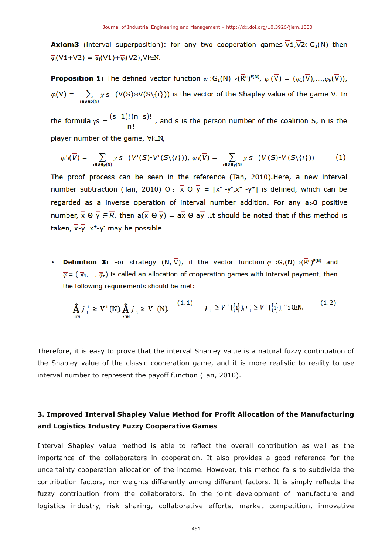**Axiom3** (interval superposition): for any two cooperation games  $\overline{V}1,\overline{V}2\in G_1(N)$  then  $\overline{\varphi}_1(\overline{V}1+\overline{V}2)=\overline{\varphi}_1(\overline{V}1)+\overline{\varphi}_1(\overline{V}2)$ , Vi∈N.

**Proposition 1:** The defined vector function  $\overline{\varphi}$ : G<sub>1</sub>(N)  $\rightarrow$   $(\overline{R}^n)^{P(N)}$ ,  $\overline{\varphi}$  ( $\overline{V}$ ) =  $(\overline{\varphi}_1(\overline{V}),...,\overline{\varphi}_N(\overline{V}))$ ,  $\overline{\varphi}(\overline{V}) = \sum_{i \in \mathbb{S} \subseteq \mathbb{S}^{(1)}} y s \cdot (\overline{V}(S) \oplus \overline{V}(S \setminus \{i\}))$  is the vector of the Shapley value of the game  $\overline{V}$ . In

the formula  $\gamma s = \frac{(s-1)!(n-s)!}{n!}$ , and s is the person number of the coalition S, n is the player number of the game, ∀i∈N,

$$
\varphi^{\dagger}(\overline{V}) = \sum_{i \in S \in p(N)} \gamma s \ (V^{\dagger}(S) - V^{\dagger}(S \setminus \{i\})), \ \varphi_i(\overline{V}) = \sum_{i \in S \in p(N)} \gamma s \ (V^{\dagger}(S) - V^{\dagger}(S \setminus \{i\}))) \tag{1}
$$

The proof process can be seen in the reference (Tan, 2010). Here, a new interval number subtraction (Tan, 2010)  $\Theta$ :  $\overline{x} \Theta \overline{y} = [x - y^2, x^2 - y^2]$  is defined, which can be regarded as a inverse operation of interval number addition. For any a>0 positive number,  $\overline{x} \oplus \overline{y} \in \overline{R}$ , then  $a(\overline{x} \oplus \overline{y}) = a\overline{x} \oplus a\overline{y}$ . It should be noted that if this method is taken,  $\overline{x}-\overline{y}$  x<sup>+</sup>-y<sup>-</sup> may be possible.

**Definition 3:** For strategy  $(N, \overline{V})$ , if the vector function  $\overline{\varphi}$  : G<sub>1</sub>(N)  $\rightarrow$   $(\overline{R}^n)^{P(N)}$  and  $\overline{\varphi} = (\overline{\varphi}_1,...,\overline{\varphi}_n)$  is called an allocation of cooperation games with interval payment, then the following requirements should be met:

$$
\hat{A}_{i\text{CIN}} j_i^+ \geq V^+ \text{(N)} \hat{A}_{i\text{CIN}} j_i^- \geq V^-\text{(N)}.
$$
\n
$$
\begin{array}{ll} (1.1) & j_i^+ \geq V^+ \text{(i)}, j_i^- \geq V^-\text{(i)}, \text{ with } (1.2) \\ \text{for } i \geq V^-\text{(i)} \end{array}
$$

Therefore, it is easy to prove that the interval Shapley value is a natural fuzzy continuation of the Shapley value of the classic cooperation game, and it is more realistic to reality to use interval number to represent the payoff function (Tan, 2010).

# 3. Improved Interval Shapley Value Method for Profit Allocation of the Manufacturing and Logistics Industry Fuzzy Cooperative Games

Interval Shapley value method is able to reflect the overall contribution as well as the importance of the collaborators in cooperation. It also provides a good reference for the uncertainty cooperation allocation of the income. However, this method fails to subdivide the contribution factors, nor weights differently among different factors. It is simply reflects the fuzzy contribution from the collaborators. In the joint development of manufacture and logistics industry, risk sharing, collaborative efforts, market competition, innovative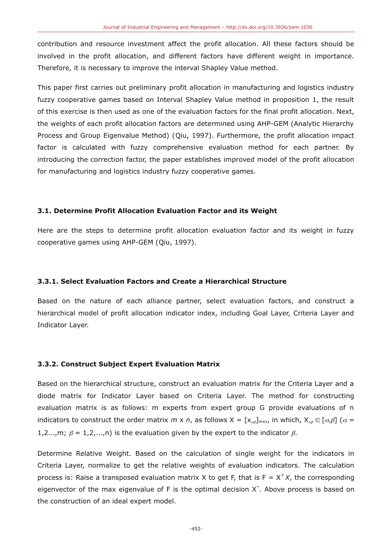contribution and resource investment affect the profit allocation. All these factors should be involved in the profit allocation, and different factors have different weight in importance. Therefore, it is necessary to improve the interval Shapley Value method.

This paper first carries out preliminary profit allocation in manufacturing and logistics industry fuzzy cooperative games based on Interval Shapley Value method in proposition 1, the result of this exercise is then used as one of the evaluation factors for the final profit allocation. Next, the weights of each profit allocation factors are determined using AHP-GEM (Analytic Hierarchy Process and Group Eigenvalue Method) (Qiu, 1997). Furthermore, the profit allocation impact factor is calculated with fuzzy comprehensive evaluation method for each partner. By introducing the correction factor, the paper establishes improved model of the profit allocation for manufacturing and logistics industry fuzzy cooperative games.

#### 3.1. Determine Profit Allocation Evaluation Factor and its Weight

Here are the steps to determine profit allocation evaluation factor and its weight in fuzzy cooperative games using AHP-GEM (Qiu, 1997).

#### 3.3.1. Select Evaluation Factors and Create a Hierarchical Structure

Based on the nature of each alliance partner, select evaluation factors, and construct a hierarchical model of profit allocation indicator index, including Goal Layer, Criteria Layer and Indicator Layer.

#### 3.3.2. Construct Subject Expert Evaluation Matrix

Based on the hierarchical structure, construct an evaluation matrix for the Criteria Layer and a diode matrix for Indicator Layer based on Criteria Layer. The method for constructing evaluation matrix is as follows: m experts from expert group G provide evaluations of n indicators to construct the order matrix m x n, as follows  $X = [x_{\alpha\beta}]_{m \times n}$ , in which,  $X_{\alpha\beta} \in [\alpha,\beta]$  ( $\alpha =$ 1,2...,m;  $\beta = 1,2,...,n$  is the evaluation given by the expert to the indicator  $\beta$ .

Determine Relative Weight. Based on the calculation of single weight for the indicators in Criteria Laver, normalize to get the relative weights of evaluation indicators. The calculation process is: Raise a transposed evaluation matrix X to get F, that is  $F = X^T X$ , the corresponding eigenvector of the max eigenvalue of F is the optimal decision  $X^*$ . Above process is based on the construction of an ideal expert model.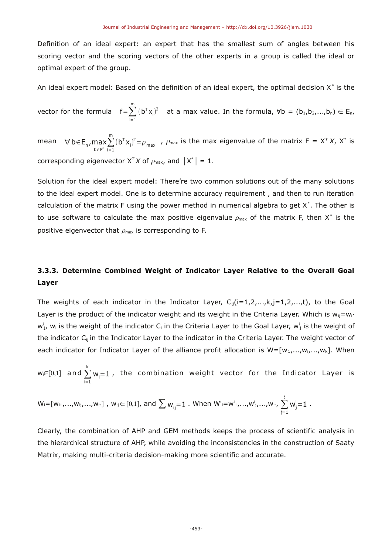Definition of an ideal expert: an expert that has the smallest sum of angles between his scoring vector and the scoring vectors of the other experts in a group is called the ideal or optimal expert of the group.

An ideal expert model: Based on the definition of an ideal expert, the optimal decision  $X^*$  is the

vector for the formula  $f = \sum_{i=1}^{m} (b^{T}x_i)^2$  at a max value. In the formula,  $\forall b = (b_1, b_2, ..., b_n) \in E_n$ ,

mean  $\forall b \in E_n$ ,  $\max_{b \in E^n} \sum_{i=1}^m (b^T x_i)^2 = \rho_{max}$ ,  $\rho_{max}$  is the max eigenvalue of the matrix  $F = X^T X$ ,  $X^*$  is corresponding eigenvector  $X^T X$  of  $\rho_{\text{max}}$ , and  $|X^*| = 1$ .

Solution for the ideal expert model: There're two common solutions out of the many solutions to the ideal expert model. One is to determine accuracy requirement, and then to run iteration calculation of the matrix F using the power method in numerical algebra to get  $X^*$ . The other is to use software to calculate the max positive eigenvalue  $\rho_{\text{max}}$  of the matrix F, then X<sup>\*</sup> is the positive eigenvector that  $\rho_{\text{max}}$  is corresponding to F.

# 3.3.3. Determine Combined Weight of Indicator Laver Relative to the Overall Goal Layer

The weights of each indicator in the Indicator Layer,  $C_{ii}(i=1,2,...,k,j=1,2,...,t)$ , to the Goal Layer is the product of the indicator weight and its weight in the Criteria Layer. Which is  $w_{ii} = w_{i}$ .  $w_{j}^{i}$ ,  $w_{i}$  is the weight of the indicator C<sub>i</sub> in the Criteria Layer to the Goal Layer,  $w_{j}^{i}$  is the weight of the indicator  $C_{ii}$  in the Indicator Layer to the indicator in the Criteria Layer. The weight vector of each indicator for Indicator Layer of the alliance profit allocation is  $W = [w_1, ..., w_i, ..., w_k]$ . When

 $w_i \in [0,1]$  and  $\sum_{i=1}^{k} w_i = 1$ , the combination weight vector for the Indicator Layer is

$$
W_i = [w_{i1},...,w_{ij},...,w_{it}] , w_{ij} \in [0,1], \text{ and } \sum w_{ij} = 1. \text{ When } W'_i = w^i{}_1,...,w^i{}_j,...,w^i{}_t, \sum_{j=1}^t w^i_j = 1.
$$

Clearly, the combination of AHP and GEM methods keeps the process of scientific analysis in the hierarchical structure of AHP, while avoiding the inconsistencies in the construction of Saaty Matrix, making multi-criteria decision-making more scientific and accurate.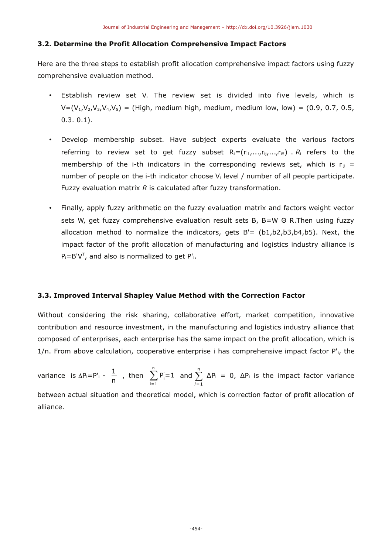#### 3.2. Determine the Profit Allocation Comprehensive Impact Factors

Here are the three steps to establish profit allocation comprehensive impact factors using fuzzy comprehensive evaluation method.

- Establish review set V. The review set is divided into five levels, which is  $V = (V_1, V_2, V_3, V_4, V_5)$  = (High, medium high, medium, medium low, low) = (0.9, 0.7, 0.5,  $0.3.0.1$ ).
- Develop membership subset. Have subject experts evaluate the various factors referring to review set to get fuzzy subset  $R_i = (r_{i1},...,r_{ij},...,r_{is})$ .  $R_i$  refers to the membership of the i-th indicators in the corresponding reviews set, which is  $r_{ii}$  = number of people on the i-th indicator choose V<sub>i</sub> level / number of all people participate. Fuzzy evaluation matrix  $R$  is calculated after fuzzy transformation.
- Finally, apply fuzzy arithmetic on the fuzzy evaluation matrix and factors weight vector sets W, get fuzzy comprehensive evaluation result sets B, B=W  $\Theta$  R. Then using fuzzy allocation method to normalize the indicators, gets  $B' = (b1,b2,b3,b4,b5)$ . Next, the impact factor of the profit allocation of manufacturing and logistics industry alliance is  $P_i = B' V^T$ , and also is normalized to get P'<sub>i</sub>.

### 3.3. Improved Interval Shapley Value Method with the Correction Factor

Without considering the risk sharing, collaborative effort, market competition, innovative contribution and resource investment, in the manufacturing and logistics industry alliance that composed of enterprises, each enterprise has the same impact on the profit allocation, which is  $1/n$ . From above calculation, cooperative enterprise i has comprehensive impact factor  $P'_1$ , the

variance is  $\Delta P_i = P'_i - \frac{1}{n}$ , then  $\sum_{i=1}^n P'_i = 1$  and  $\sum_{i=1}^n \Delta P_i = 0$ ,  $\Delta P_i$  is the impact factor variance between actual situation and theoretical model, which is correction factor of profit allocation of alliance.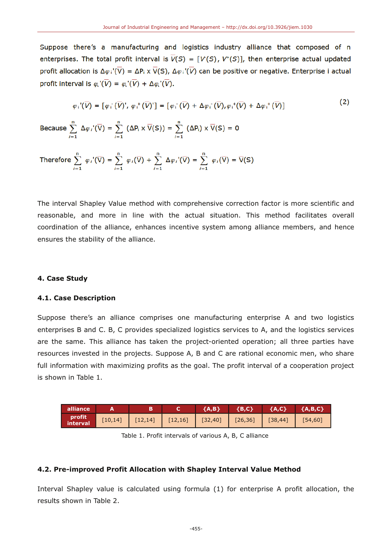Suppose there's a manufacturing and logistics industry alliance that composed of n enterprises. The total profit interval is  $\overline{V}(S) = [V(S), V^*(S)]$ , then enterprise actual updated profit allocation is  $\Delta\varphi_i'(\overline{V}) = \Delta P_i \times \overline{V}(S)$ ,  $\Delta\varphi_i'(\overline{V})$  can be positive or negative. Enterprise i actual profit interval is  $\varphi_{i}(\overline{V}) = \varphi_{i}(\overline{V}) + \Delta \varphi_{i}(\overline{V})$ .

$$
\varphi_i(\overline{V}) = [\varphi_i(\overline{V})', \varphi_i^+(\overline{V})'] = [\varphi_i(\overline{V}) + \Delta \varphi_i(\overline{V}), \varphi_i^+(\overline{V}) + \Delta \varphi_i^+(\overline{V})]
$$
\n(2)

 $\sim$ 

Because  $\sum_{i=1}^{n} \Delta \varphi_i'(\overline{V}) = \sum_{i=1}^{n} (\Delta P_i \times \overline{V}(S)) = \sum_{i=1}^{n} (\Delta P_i) \times \overline{V}(S) = 0$ 

Therefore 
$$
\sum_{i=1}^{n} \varphi_i'(\overline{V}) = \sum_{i=1}^{n} \varphi_i(\overline{V}) + \sum_{i=1}^{n} \Delta \varphi_i'(\overline{V}) = \sum_{i=1}^{n} \varphi_i(\overline{V}) = \overline{V}(S)
$$

The interval Shapley Value method with comprehensive correction factor is more scientific and reasonable, and more in line with the actual situation. This method facilitates overall coordination of the alliance, enhances incentive system among alliance members, and hence ensures the stability of the alliance.

#### 4. Case Study

#### 4.1. Case Description

Suppose there's an alliance comprises one manufacturing enterprise A and two logistics enterprises B and C. B, C provides specialized logistics services to A, and the logistics services are the same. This alliance has taken the project-oriented operation; all three parties have resources invested in the projects. Suppose A, B and C are rational economic men, who share full information with maximizing profits as the goal. The profit interval of a cooperation project is shown in Table 1.

| alliance           |  | ${A.B}$ | ${B, C}$                                                              | ${A, C}$ {A,B,C} |  |
|--------------------|--|---------|-----------------------------------------------------------------------|------------------|--|
| profit<br>interval |  |         | $[10,14]$ $[12,14]$ $[12,16]$ $[32,40]$ $[26,36]$ $[38,44]$ $[54,60]$ |                  |  |

Table 1. Profit intervals of various A, B, C alliance

#### 4.2. Pre-improved Profit Allocation with Shapley Interval Value Method

Interval Shapley value is calculated using formula (1) for enterprise A profit allocation, the results shown in Table 2.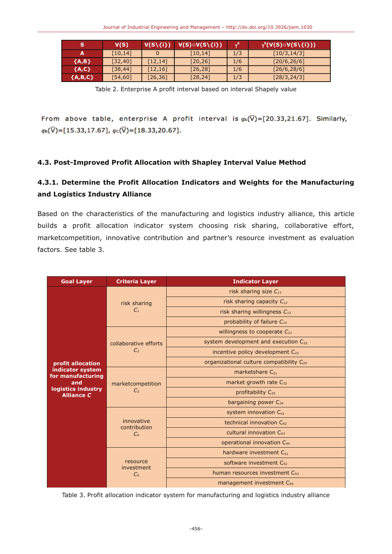|           | V(S)     | $V(S\setminus\{i\})$ | $V(S) \odot V(S \setminus \{i\})$ |     | $\mathsf{P}_\gamma^{\mathsf{s}}(\mathsf{V}(\mathsf{S})\!\circ\!\mathsf{V}(\mathsf{S}\!\setminus\!\{\mathsf{i}\}))$ , |
|-----------|----------|----------------------|-----------------------------------|-----|----------------------------------------------------------------------------------------------------------------------|
|           | [10, 14] |                      | [10, 14]                          | 1/3 | [10/3, 14/3]                                                                                                         |
| ${A,B}$   | [32, 40] | [12, 14]             | [20, 26]                          | 1/6 | [20/6, 26/6]                                                                                                         |
| ${A, C}$  | [38, 44] | [12, 16]             | [26, 28]                          | 1/6 | [26/6, 28/6]                                                                                                         |
| ${A,B,C}$ | [54, 60] | $[26, 36]$           | [28, 24]                          | 1/3 | [28/3, 24/3]                                                                                                         |

Table 2. Enterprise A profit interval based on interval Shapely value

From above table, enterprise A profit interval is  $\varphi_n(\overline{V}) = [20.33, 21.67]$ . Similarly,  $\varphi_8(\overline{V}) = [15.33, 17.67], \varphi_c(\overline{V}) = [18.33, 20.67].$ 

## 4.3. Post-Improved Profit Allocation with Shapley Interval Value Method

# 4.3.1. Determine the Profit Allocation Indicators and Weights for the Manufacturing and Logistics Industry Alliance

Based on the characteristics of the manufacturing and logistics industry alliance, this article builds a profit allocation indicator system choosing risk sharing, collaborative effort, marketcompetition, innovative contribution and partner's resource investment as evaluation factors. See table 3.

| <b>Goal Layer</b>                       | <b>Criteria Layer</b>                        | <b>Indicator Layer</b>                               |  |  |  |  |
|-----------------------------------------|----------------------------------------------|------------------------------------------------------|--|--|--|--|
|                                         | risk sharing<br>C <sub>1</sub>               | risk sharing size $C_{11}$                           |  |  |  |  |
|                                         |                                              | risk sharing capacity $C_{12}$                       |  |  |  |  |
|                                         |                                              | risk sharing willingness $C_{13}$                    |  |  |  |  |
|                                         |                                              | probability of failure $C_{14}$                      |  |  |  |  |
|                                         | collaborative efforts<br>C <sub>2</sub>      | willingness to cooperate $C_{21}$                    |  |  |  |  |
|                                         |                                              | system development and execution $C_{22}$            |  |  |  |  |
|                                         |                                              | incentive policy development $C_{23}$                |  |  |  |  |
| profit allocation                       |                                              | organizational culture compatibility C <sub>24</sub> |  |  |  |  |
| indicator system<br>for manufacturing   | marketcompetition<br>$C_3$                   | marketshare C31                                      |  |  |  |  |
| and                                     |                                              | market growth rate $C_{32}$                          |  |  |  |  |
| logistics industry<br><b>Alliance C</b> |                                              | profitability C33                                    |  |  |  |  |
|                                         |                                              | bargaining power $C_{34}$                            |  |  |  |  |
|                                         | innovative<br>contribution<br>C <sub>4</sub> | system innovation C <sub>41</sub>                    |  |  |  |  |
|                                         |                                              | technical innovation C <sub>42</sub>                 |  |  |  |  |
|                                         |                                              | cultural innovation C <sub>43</sub>                  |  |  |  |  |
|                                         |                                              | operational innovation C <sub>44</sub>               |  |  |  |  |
|                                         | resource<br>investment<br>C <sub>5</sub>     | hardware investment C <sub>51</sub>                  |  |  |  |  |
|                                         |                                              | software investment C <sub>52</sub>                  |  |  |  |  |
|                                         |                                              | human resources investment C <sub>53</sub>           |  |  |  |  |
|                                         |                                              | management investment $C_{54}$                       |  |  |  |  |

Table 3. Profit allocation indicator system for manufacturing and logistics industry alliance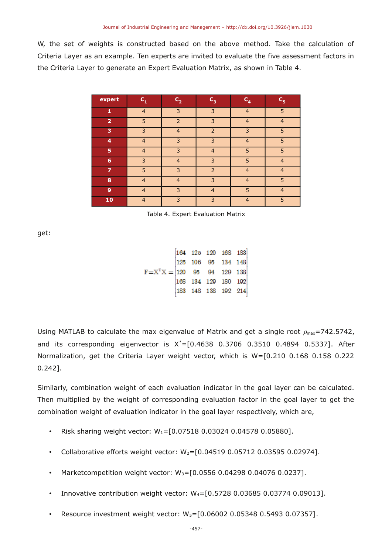W, the set of weights is constructed based on the above method. Take the calculation of Criteria Layer as an example. Ten experts are invited to evaluate the five assessment factors in the Criteria Layer to generate an Expert Evaluation Matrix, as shown in Table 4.

| expert         | $C_{1}$        | $C_{2}$                  | $C_3$          | $C_{4}$        | $C_{5}$        |
|----------------|----------------|--------------------------|----------------|----------------|----------------|
| 1              | $\overline{4}$ | 3                        | 3              | $\overline{4}$ | 5              |
| $\overline{2}$ | 5              | $\overline{\phantom{0}}$ | 3              | $\overline{4}$ | $\overline{4}$ |
| 3              | 3              | $\overline{4}$           | $\overline{2}$ | 3              | 5              |
| 4              | $\overline{4}$ | 3                        | 3              | $\overline{4}$ | 5              |
| 5              | $\overline{4}$ | 3                        | $\overline{4}$ | 5              | 5              |
| 6              | 3              | $\overline{4}$           | 3              | 5              | $\overline{4}$ |
| 7              | 5              | 3                        | $\overline{2}$ | $\overline{4}$ | $\overline{4}$ |
| 8              | $\overline{4}$ | $\overline{4}$           | 3              | $\overline{4}$ | 5              |
| 9              | $\overline{4}$ | 3                        | $\overline{4}$ | 5              | $\overline{4}$ |
| 10             | $\overline{4}$ | 3                        | 3              | $\overline{4}$ | 5              |

Table 4. Expert Evaluation Matrix

get:

|                                              |  | 164 125 120 168 183 |  |
|----------------------------------------------|--|---------------------|--|
|                                              |  | 125 106 05 134 148  |  |
| $F = X^T X =  120 \t 95 \t 94 \t 129 \t 138$ |  |                     |  |
|                                              |  | 168 134 129 180 192 |  |
|                                              |  | 183 148 138 192 214 |  |

Using MATLAB to calculate the max eigenvalue of Matrix and get a single root  $\rho_{\text{max}}$ =742.5742, and its corresponding eigenvector is  $X^*=[0.4638 \t 0.3706 \t 0.3510 \t 0.4894 \t 0.5337]$ . After Normalization, get the Criteria Layer weight vector, which is W=[0.210 0.168 0.158 0.222  $0.242$ ].

Similarly, combination weight of each evaluation indicator in the goal layer can be calculated. Then multiplied by the weight of corresponding evaluation factor in the goal layer to get the combination weight of evaluation indicator in the goal layer respectively, which are,

- $\bullet$ Risk sharing weight vector:  $W_1 = [0.07518 \ 0.03024 \ 0.04578 \ 0.05880]$ .
- Collaborative efforts weight vector:  $W_2 = [0.04519 \ 0.05712 \ 0.03595 \ 0.02974]$ .  $\bullet$  .
- Marketcompetition weight vector: W<sub>3</sub>=[0.0556 0.04298 0.04076 0.0237].
- Innovative contribution weight vector: W<sub>4</sub>=[0.5728 0.03685 0.03774 0.09013].
- Resource investment weight vector: W<sub>5</sub>=[0.06002 0.05348 0.5493 0.07357].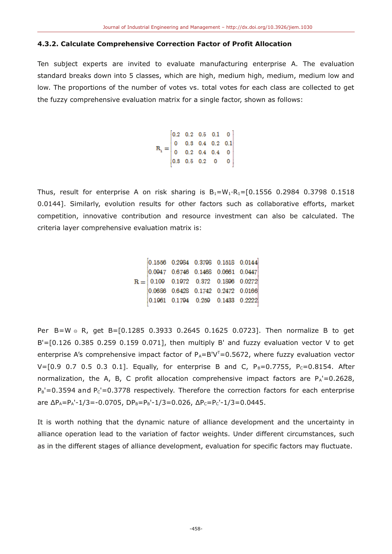#### 4.3.2. Calculate Comprehensive Correction Factor of Profit Allocation

Ten subject experts are invited to evaluate manufacturing enterprise A. The evaluation standard breaks down into 5 classes, which are high, medium high, medium, medium low and low. The proportions of the number of votes vs. total votes for each class are collected to get the fuzzy comprehensive evaluation matrix for a single factor, shown as follows:

$$
R_{i} = \begin{bmatrix} 0.2 & 0.2 & 0.5 & 0.1 & 0 \\ 0 & 0.3 & 0.4 & 0.2 & 0.1 \\ 0 & 0.2 & 0.4 & 0.4 & 0 \\ 0.3 & 0.5 & 0.2 & 0 & 0 \end{bmatrix}
$$

Thus, result for enterprise A on risk sharing is  $B_1 = W_1 \cdot R_1 = [0.1556 \ 0.2984 \ 0.3798 \ 0.1518]$ 0.0144]. Similarly, evolution results for other factors such as collaborative efforts, market competition, innovative contribution and resource investment can also be calculated. The criteria layer comprehensive evaluation matrix is:

$$
R=\begin{bmatrix} 0.1556 & 0.2984 & 0.3798 & 0.1518 & 0.0144 \\ 0.0947 & 0.6746 & 0.1468 & 0.0661 & 0.0447 \\ 0.109 & 0.1972 & 0.372 & 0.1896 & 0.0272 \\ 0.0686 & 0.6428 & 0.1742 & 0.2472 & 0.0166 \\ 0.1961 & 0.1794 & 0.259 & 0.1433 & 0.2222 \end{bmatrix}
$$

Per B=W 
o R, get B=[0.1285 0.3933 0.2645 0.1625 0.0723]. Then normalize B to get  $B' = [0.126 0.385 0.259 0.159 0.071]$ , then multiply B' and fuzzy evaluation vector V to get enterprise A's comprehensive impact factor of  $P_A = B'V^T = 0.5672$ , where fuzzy evaluation vector V=[0.9 0.7 0.5 0.3 0.1]. Equally, for enterprise B and C,  $P_B=0.7755$ ,  $P_C=0.8154$ . After normalization, the A, B, C profit allocation comprehensive impact factors are  $P_A = 0.2628$ ,  $P_B' = 0.3594$  and  $P_C' = 0.3778$  respectively. Therefore the correction factors for each enterprise are  $\Delta P_A = P_A' - 1/3 = -0.0705$ ,  $DP_B = P_B' - 1/3 = 0.026$ ,  $\Delta P_C = P_C' - 1/3 = 0.0445$ .

It is worth nothing that the dynamic nature of alliance development and the uncertainty in alliance operation lead to the variation of factor weights. Under different circumstances, such as in the different stages of alliance development, evaluation for specific factors may fluctuate.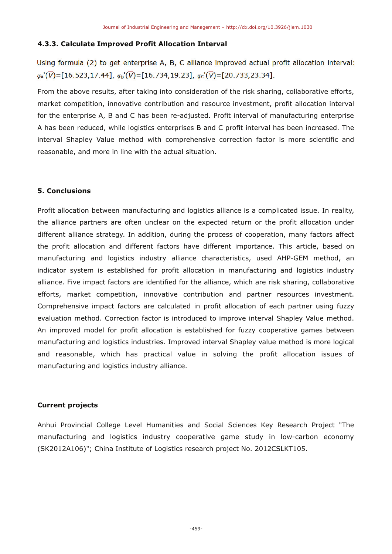#### 4.3.3. Calculate Improved Profit Allocation Interval

Using formula (2) to get enterprise A, B, C alliance improved actual profit allocation interval:  $\varphi_{A}(\overline{V}) = [16.523, 17.44], \varphi_{B}(\overline{V}) = [16.734, 19.23], \varphi_{C}(\overline{V}) = [20.733, 23.34].$ 

From the above results, after taking into consideration of the risk sharing, collaborative efforts, market competition, innovative contribution and resource investment, profit allocation interval for the enterprise A, B and C has been re-adjusted. Profit interval of manufacturing enterprise A has been reduced, while logistics enterprises B and C profit interval has been increased. The interval Shapley Value method with comprehensive correction factor is more scientific and reasonable, and more in line with the actual situation.

## **5. Conclusions**

Profit allocation between manufacturing and logistics alliance is a complicated issue. In reality, the alliance partners are often unclear on the expected return or the profit allocation under different alliance strategy. In addition, during the process of cooperation, many factors affect the profit allocation and different factors have different importance. This article, based on manufacturing and logistics industry alliance characteristics, used AHP-GEM method, an indicator system is established for profit allocation in manufacturing and logistics industry alliance. Five impact factors are identified for the alliance, which are risk sharing, collaborative efforts, market competition, innovative contribution and partner resources investment. Comprehensive impact factors are calculated in profit allocation of each partner using fuzzy evaluation method. Correction factor is introduced to improve interval Shapley Value method. An improved model for profit allocation is established for fuzzy cooperative games between manufacturing and logistics industries. Improved interval Shapley value method is more logical and reasonable, which has practical value in solving the profit allocation issues of manufacturing and logistics industry alliance.

#### **Current projects**

Anhui Provincial College Level Humanities and Social Sciences Key Research Project "The manufacturing and logistics industry cooperative game study in low-carbon economy (SK2012A106)"; China Institute of Logistics research project No. 2012CSLKT105.